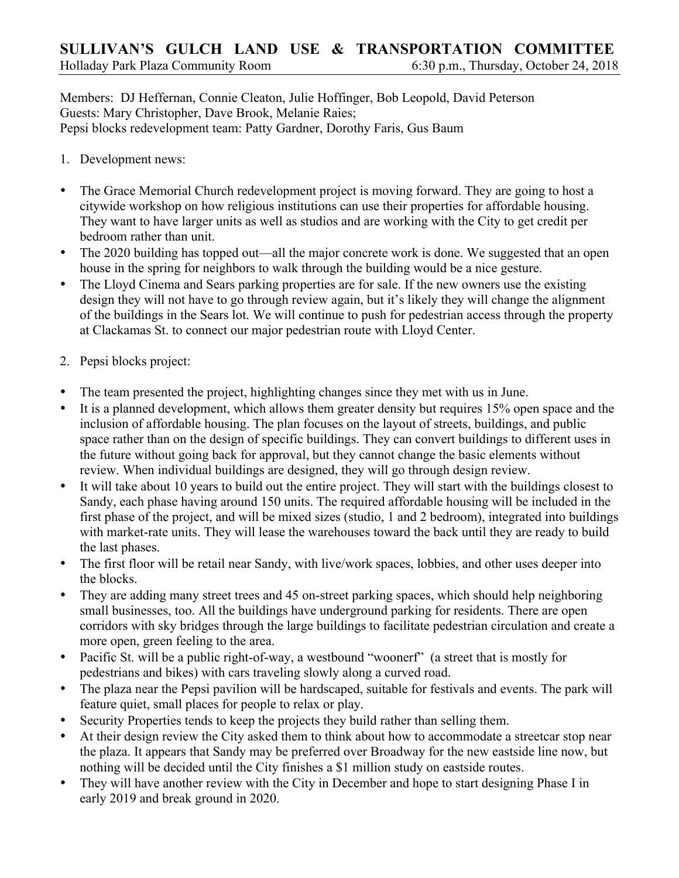Members: DJ Heffernan, Connie Cleaton, Julie Hoffinger, Bob Leopold, David Peterson Guests: Mary Christopher, Dave Brook, Melanie Raies; Pepsi blocks redevelopment team: Patty Gardner, Dorothy Faris, Gus Baum

- 1. Development news:
- The Grace Memorial Church redevelopment project is moving forward. They are going to host a citywide workshop on how religious institutions can use their properties for affordable housing. They want to have larger units as well as studios and are working with the City to get credit per bedroom rather than unit.
- The 2020 building has topped out—all the major concrete work is done. We suggested that an open house in the spring for neighbors to walk through the building would be a nice gesture.
- The Lloyd Cinema and Sears parking properties are for sale. If the new owners use the existing design they will not have to go through review again, but it's likely they will change the alignment of the buildings in the Sears lot. We will continue to push for pedestrian access through the property at Clackamas St. to connect our major pedestrian route with Lloyd Center.
- 2. Pepsi blocks project:
- The team presented the project, highlighting changes since they met with us in June.
- It is a planned development, which allows them greater density but requires 15% open space and the inclusion of affordable housing. The plan focuses on the layout of streets, buildings, and public space rather than on the design of specific buildings. They can convert buildings to different uses in the future without going back for approval, but they cannot change the basic elements without review. When individual buildings are designed, they will go through design review.
- It will take about 10 years to build out the entire project. They will start with the buildings closest to Sandy, each phase having around 150 units. The required affordable housing will be included in the first phase of the project, and will be mixed sizes (studio, 1 and 2 bedroom), integrated into buildings with market-rate units. They will lease the warehouses toward the back until they are ready to build the last phases.
- The first floor will be retail near Sandy, with live/work spaces, lobbies, and other uses deeper into the blocks.
- They are adding many street trees and 45 on-street parking spaces, which should help neighboring small businesses, too. All the buildings have underground parking for residents. There are open corridors with sky bridges through the large buildings to facilitate pedestrian circulation and create a more open, green feeling to the area.
- Pacific St. will be a public right-of-way, a westbound "woonerf" (a street that is mostly for pedestrians and bikes) with cars traveling slowly along a curved road.
- The plaza near the Pepsi pavilion will be hardscaped, suitable for festivals and events. The park will feature quiet, small places for people to relax or play.
- Security Properties tends to keep the projects they build rather than selling them.
- At their design review the City asked them to think about how to accommodate a streetcar stop near the plaza. It appears that Sandy may be preferred over Broadway for the new eastside line now, but nothing will be decided until the City finishes a \$1 million study on eastside routes.
- They will have another review with the City in December and hope to start designing Phase I in early 2019 and break ground in 2020.